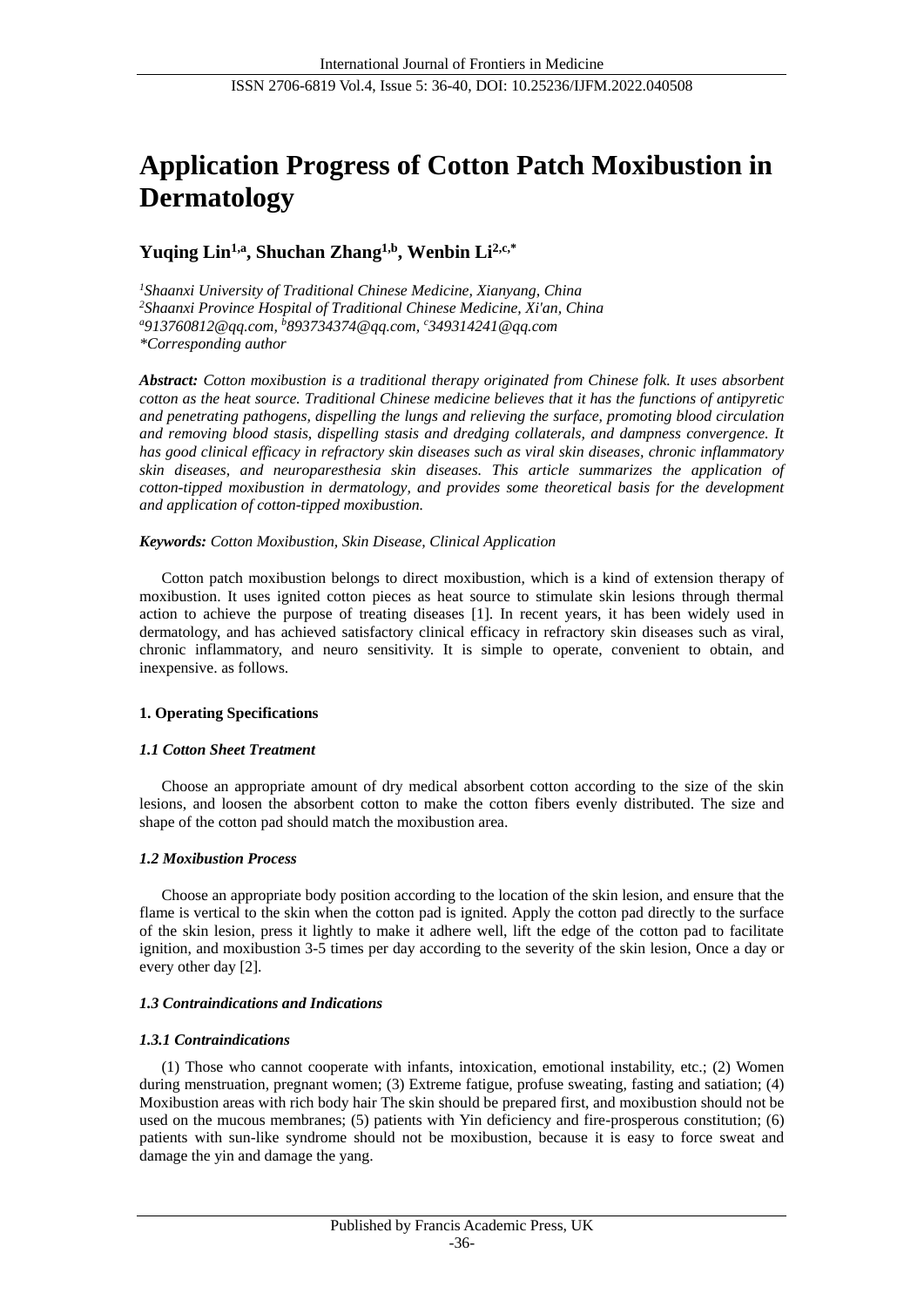# **Application Progress of Cotton Patch Moxibustion in Dermatology**

## **Yuqing Lin1,a, Shuchan Zhang1,b , Wenbin Li2,c,\***

*<sup>1</sup>Shaanxi University of Traditional Chinese Medicine, Xianyang, China <sup>2</sup>Shaanxi Province Hospital of Traditional Chinese Medicine, Xi'an, China <sup>a</sup>913760812@qq.com, <sup>b</sup>[893734374@qq.com,](mailto:893734374@qq.com) <sup>c</sup>349314241@qq.com \*Corresponding author*

*Abstract: Cotton moxibustion is a traditional therapy originated from Chinese folk. It uses absorbent cotton as the heat source. Traditional Chinese medicine believes that it has the functions of antipyretic and penetrating pathogens, dispelling the lungs and relieving the surface, promoting blood circulation and removing blood stasis, dispelling stasis and dredging collaterals, and dampness convergence. It has good clinical efficacy in refractory skin diseases such as viral skin diseases, chronic inflammatory skin diseases, and neuroparesthesia skin diseases. This article summarizes the application of cotton-tipped moxibustion in dermatology, and provides some theoretical basis for the development and application of cotton-tipped moxibustion.*

## *Keywords: Cotton Moxibustion, Skin Disease, Clinical Application*

Cotton patch moxibustion belongs to direct moxibustion, which is a kind of extension therapy of moxibustion. It uses ignited cotton pieces as heat source to stimulate skin lesions through thermal action to achieve the purpose of treating diseases [1]. In recent years, it has been widely used in dermatology, and has achieved satisfactory clinical efficacy in refractory skin diseases such as viral, chronic inflammatory, and neuro sensitivity. It is simple to operate, convenient to obtain, and inexpensive. as follows.

## **1. Operating Specifications**

## *1.1 Cotton Sheet Treatment*

Choose an appropriate amount of dry medical absorbent cotton according to the size of the skin lesions, and loosen the absorbent cotton to make the cotton fibers evenly distributed. The size and shape of the cotton pad should match the moxibustion area.

## *1.2 Moxibustion Process*

Choose an appropriate body position according to the location of the skin lesion, and ensure that the flame is vertical to the skin when the cotton pad is ignited. Apply the cotton pad directly to the surface of the skin lesion, press it lightly to make it adhere well, lift the edge of the cotton pad to facilitate ignition, and moxibustion 3-5 times per day according to the severity of the skin lesion, Once a day or every other day [2].

## *1.3 Contraindications and Indications*

## *1.3.1 Contraindications*

(1) Those who cannot cooperate with infants, intoxication, emotional instability, etc.; (2) Women during menstruation, pregnant women; (3) Extreme fatigue, profuse sweating, fasting and satiation; (4) Moxibustion areas with rich body hair The skin should be prepared first, and moxibustion should not be used on the mucous membranes; (5) patients with Yin deficiency and fire-prosperous constitution; (6) patients with sun-like syndrome should not be moxibustion, because it is easy to force sweat and damage the yin and damage the yang.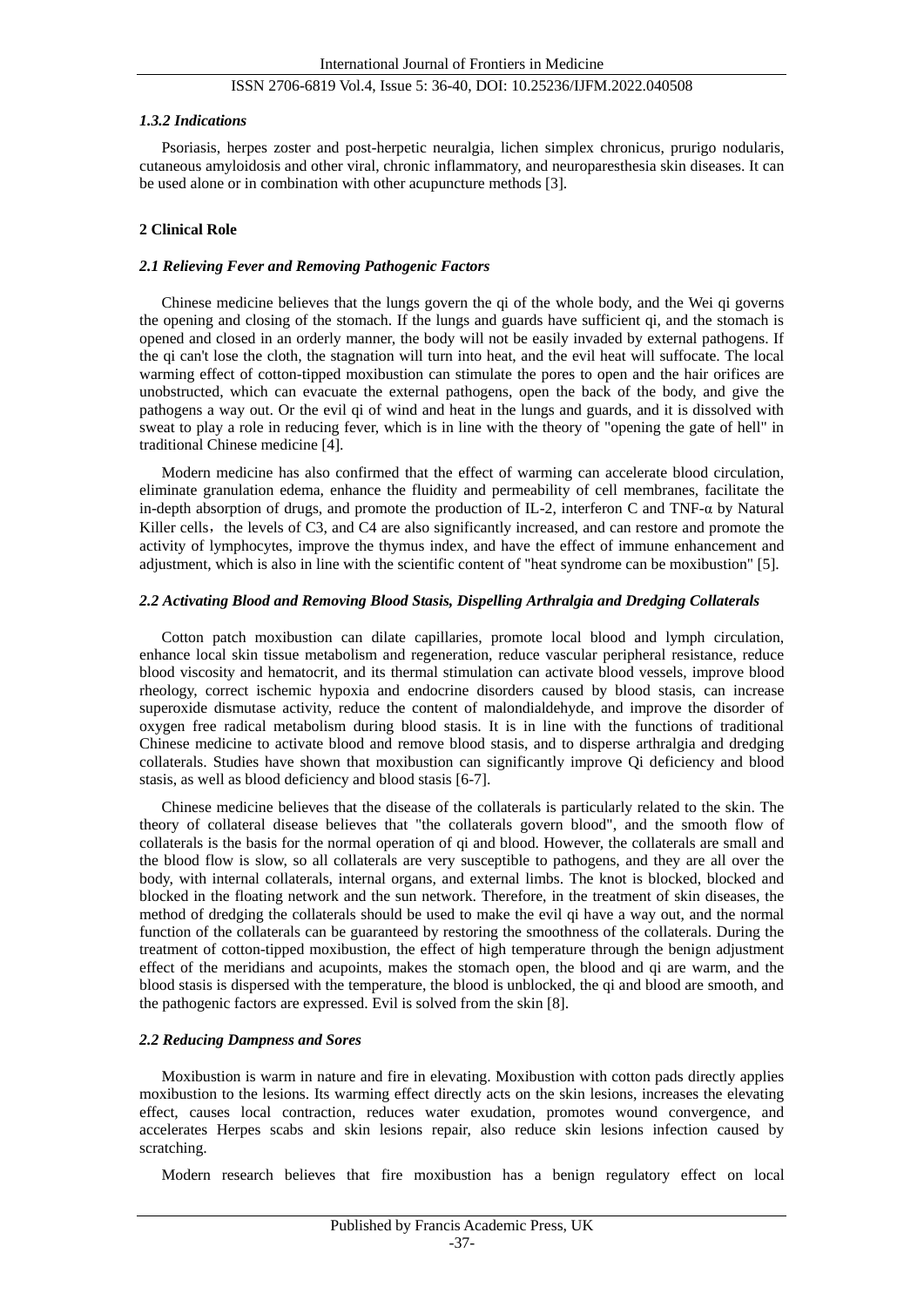## *1.3.2 Indications*

Psoriasis, herpes zoster and post-herpetic neuralgia, lichen simplex chronicus, prurigo nodularis, cutaneous amyloidosis and other viral, chronic inflammatory, and neuroparesthesia skin diseases. It can be used alone or in combination with other acupuncture methods [3].

## **2 Clinical Role**

## *2.1 Relieving Fever and Removing Pathogenic Factors*

Chinese medicine believes that the lungs govern the qi of the whole body, and the Wei qi governs the opening and closing of the stomach. If the lungs and guards have sufficient qi, and the stomach is opened and closed in an orderly manner, the body will not be easily invaded by external pathogens. If the qi can't lose the cloth, the stagnation will turn into heat, and the evil heat will suffocate. The local warming effect of cotton-tipped moxibustion can stimulate the pores to open and the hair orifices are unobstructed, which can evacuate the external pathogens, open the back of the body, and give the pathogens a way out. Or the evil qi of wind and heat in the lungs and guards, and it is dissolved with sweat to play a role in reducing fever, which is in line with the theory of "opening the gate of hell" in traditional Chinese medicine [4].

Modern medicine has also confirmed that the effect of warming can accelerate blood circulation, eliminate granulation edema, enhance the fluidity and permeability of cell membranes, facilitate the in-depth absorption of drugs, and promote the production of IL-2, interferon C and TNF- $\alpha$  by Natural Killer cells, the levels of C3, and C4 are also significantly increased, and can restore and promote the activity of lymphocytes, improve the thymus index, and have the effect of immune enhancement and adjustment, which is also in line with the scientific content of "heat syndrome can be moxibustion" [5].

## *2.2 Activating Blood and Removing Blood Stasis, Dispelling Arthralgia and Dredging Collaterals*

Cotton patch moxibustion can dilate capillaries, promote local blood and lymph circulation, enhance local skin tissue metabolism and regeneration, reduce vascular peripheral resistance, reduce blood viscosity and hematocrit, and its thermal stimulation can activate blood vessels, improve blood rheology, correct ischemic hypoxia and endocrine disorders caused by blood stasis, can increase superoxide dismutase activity, reduce the content of malondialdehyde, and improve the disorder of oxygen free radical metabolism during blood stasis. It is in line with the functions of traditional Chinese medicine to activate blood and remove blood stasis, and to disperse arthralgia and dredging collaterals. Studies have shown that moxibustion can significantly improve Qi deficiency and blood stasis, as well as blood deficiency and blood stasis [6-7].

Chinese medicine believes that the disease of the collaterals is particularly related to the skin. The theory of collateral disease believes that "the collaterals govern blood", and the smooth flow of collaterals is the basis for the normal operation of qi and blood. However, the collaterals are small and the blood flow is slow, so all collaterals are very susceptible to pathogens, and they are all over the body, with internal collaterals, internal organs, and external limbs. The knot is blocked, blocked and blocked in the floating network and the sun network. Therefore, in the treatment of skin diseases, the method of dredging the collaterals should be used to make the evil qi have a way out, and the normal function of the collaterals can be guaranteed by restoring the smoothness of the collaterals. During the treatment of cotton-tipped moxibustion, the effect of high temperature through the benign adjustment effect of the meridians and acupoints, makes the stomach open, the blood and qi are warm, and the blood stasis is dispersed with the temperature, the blood is unblocked, the qi and blood are smooth, and the pathogenic factors are expressed. Evil is solved from the skin [8].

#### *2.2 Reducing Dampness and Sores*

Moxibustion is warm in nature and fire in elevating. Moxibustion with cotton pads directly applies moxibustion to the lesions. Its warming effect directly acts on the skin lesions, increases the elevating effect, causes local contraction, reduces water exudation, promotes wound convergence, and accelerates Herpes scabs and skin lesions repair, also reduce skin lesions infection caused by scratching.

Modern research believes that fire moxibustion has a benign regulatory effect on local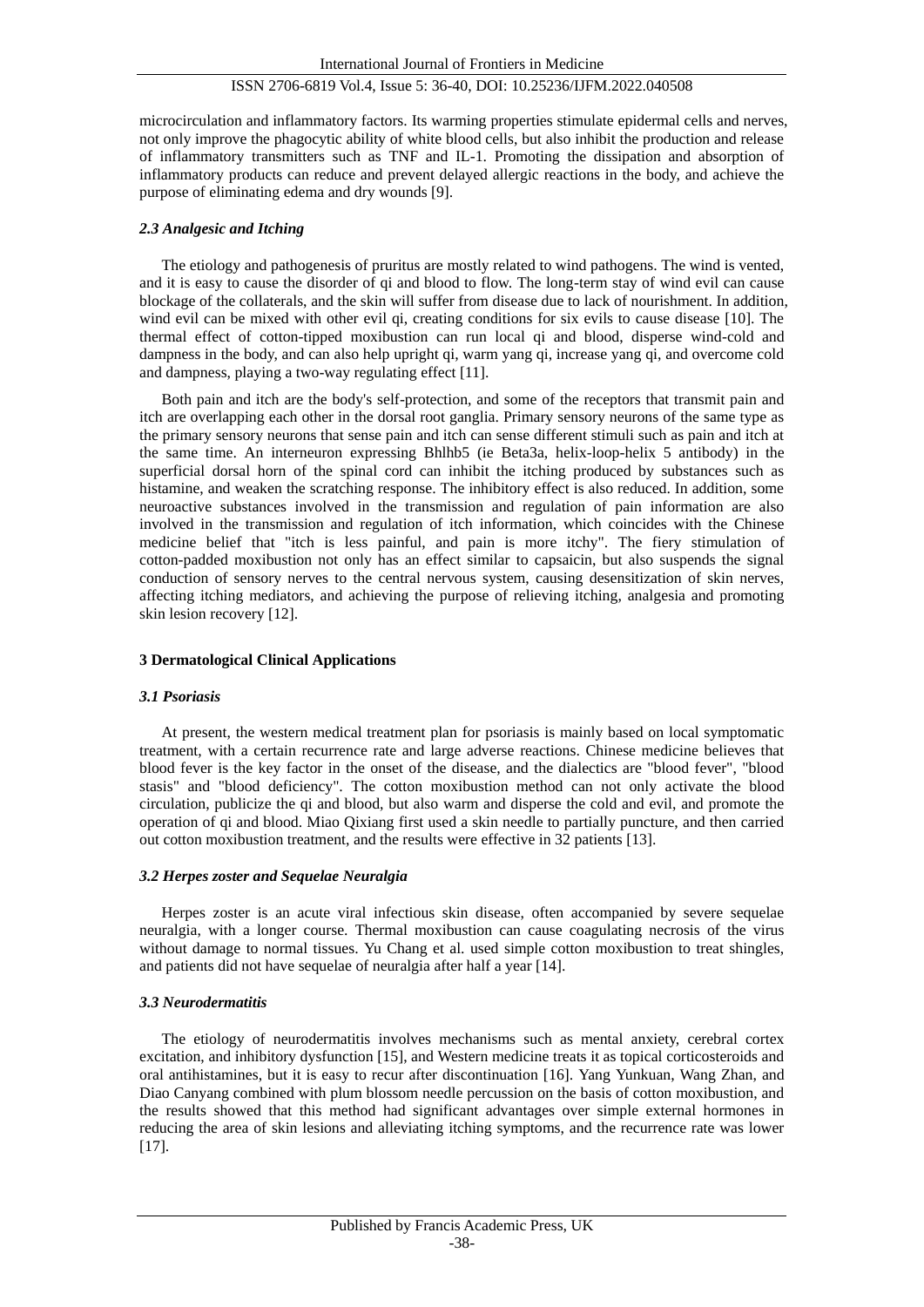microcirculation and inflammatory factors. Its warming properties stimulate epidermal cells and nerves, not only improve the phagocytic ability of white blood cells, but also inhibit the production and release of inflammatory transmitters such as TNF and IL-1. Promoting the dissipation and absorption of inflammatory products can reduce and prevent delayed allergic reactions in the body, and achieve the purpose of eliminating edema and dry wounds [9].

## *2.3 Analgesic and Itching*

The etiology and pathogenesis of pruritus are mostly related to wind pathogens. The wind is vented, and it is easy to cause the disorder of qi and blood to flow. The long-term stay of wind evil can cause blockage of the collaterals, and the skin will suffer from disease due to lack of nourishment. In addition, wind evil can be mixed with other evil qi, creating conditions for six evils to cause disease [10]. The thermal effect of cotton-tipped moxibustion can run local qi and blood, disperse wind-cold and dampness in the body, and can also help upright qi, warm yang qi, increase yang qi, and overcome cold and dampness, playing a two-way regulating effect [11].

Both pain and itch are the body's self-protection, and some of the receptors that transmit pain and itch are overlapping each other in the dorsal root ganglia. Primary sensory neurons of the same type as the primary sensory neurons that sense pain and itch can sense different stimuli such as pain and itch at the same time. An interneuron expressing Bhlhb5 (ie Beta3a, helix-loop-helix 5 antibody) in the superficial dorsal horn of the spinal cord can inhibit the itching produced by substances such as histamine, and weaken the scratching response. The inhibitory effect is also reduced. In addition, some neuroactive substances involved in the transmission and regulation of pain information are also involved in the transmission and regulation of itch information, which coincides with the Chinese medicine belief that "itch is less painful, and pain is more itchy". The fiery stimulation of cotton-padded moxibustion not only has an effect similar to capsaicin, but also suspends the signal conduction of sensory nerves to the central nervous system, causing desensitization of skin nerves, affecting itching mediators, and achieving the purpose of relieving itching, analgesia and promoting skin lesion recovery [12].

## **3 Dermatological Clinical Applications**

## *3.1 Psoriasis*

At present, the western medical treatment plan for psoriasis is mainly based on local symptomatic treatment, with a certain recurrence rate and large adverse reactions. Chinese medicine believes that blood fever is the key factor in the onset of the disease, and the dialectics are "blood fever", "blood stasis" and "blood deficiency". The cotton moxibustion method can not only activate the blood circulation, publicize the qi and blood, but also warm and disperse the cold and evil, and promote the operation of qi and blood. Miao Qixiang first used a skin needle to partially puncture, and then carried out cotton moxibustion treatment, and the results were effective in 32 patients [13].

## *3.2 Herpes zoster and Sequelae Neuralgia*

Herpes zoster is an acute viral infectious skin disease, often accompanied by severe sequelae neuralgia, with a longer course. Thermal moxibustion can cause coagulating necrosis of the virus without damage to normal tissues. Yu Chang et al. used simple cotton moxibustion to treat shingles, and patients did not have sequelae of neuralgia after half a year [14].

## *3.3 Neurodermatitis*

The etiology of neurodermatitis involves mechanisms such as mental anxiety, cerebral cortex excitation, and inhibitory dysfunction [15], and Western medicine treats it as topical corticosteroids and oral antihistamines, but it is easy to recur after discontinuation [16]. Yang Yunkuan, Wang Zhan, and Diao Canyang combined with plum blossom needle percussion on the basis of cotton moxibustion, and the results showed that this method had significant advantages over simple external hormones in reducing the area of skin lesions and alleviating itching symptoms, and the recurrence rate was lower [17].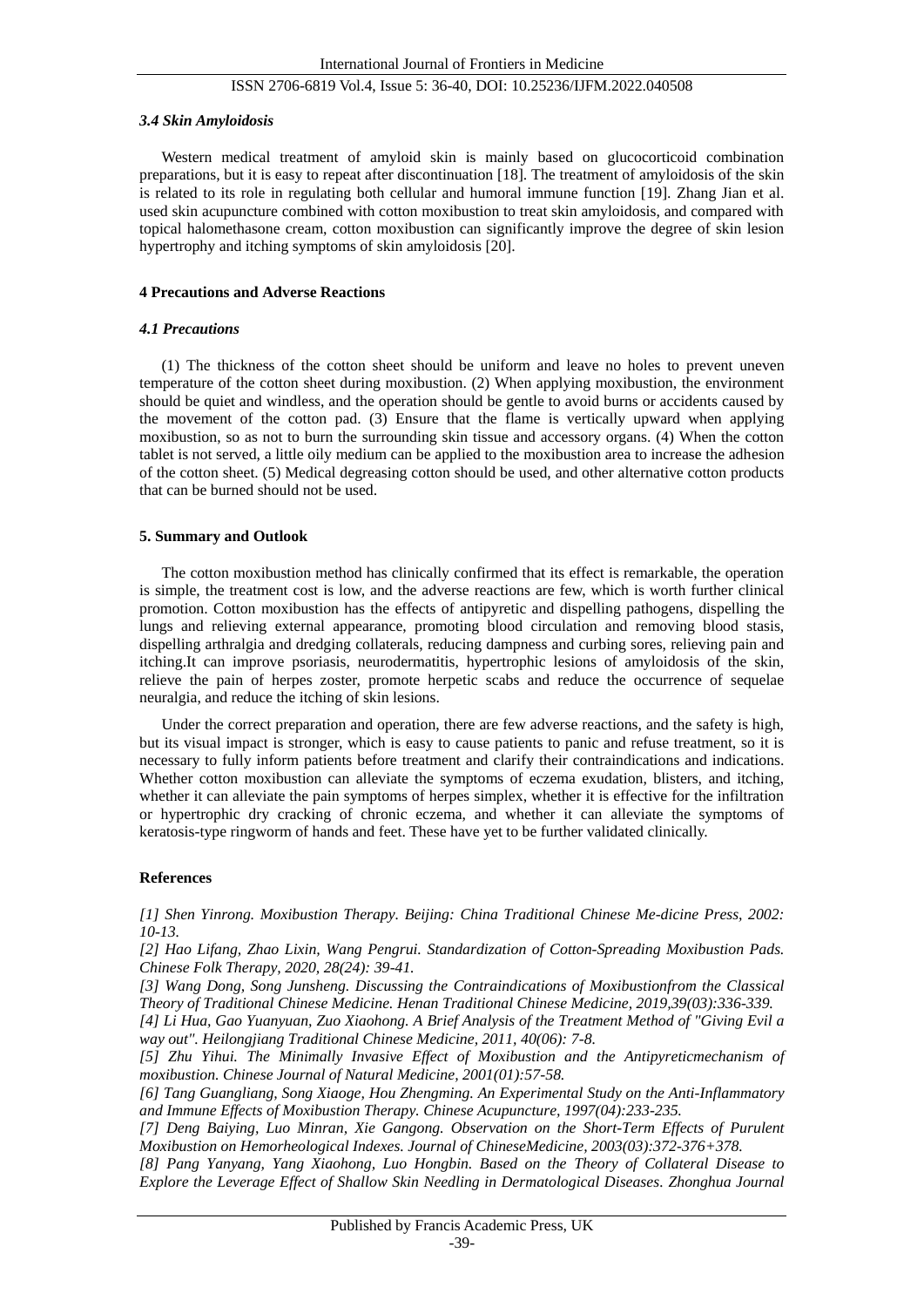#### *3.4 Skin Amyloidosis*

Western medical treatment of amyloid skin is mainly based on glucocorticoid combination preparations, but it is easy to repeat after discontinuation [18]. The treatment of amyloidosis of the skin is related to its role in regulating both cellular and humoral immune function [19]. Zhang Jian et al. used skin acupuncture combined with cotton moxibustion to treat skin amyloidosis, and compared with topical halomethasone cream, cotton moxibustion can significantly improve the degree of skin lesion hypertrophy and itching symptoms of skin amyloidosis [20].

## **4 Precautions and Adverse Reactions**

## *4.1 Precautions*

(1) The thickness of the cotton sheet should be uniform and leave no holes to prevent uneven temperature of the cotton sheet during moxibustion. (2) When applying moxibustion, the environment should be quiet and windless, and the operation should be gentle to avoid burns or accidents caused by the movement of the cotton pad. (3) Ensure that the flame is vertically upward when applying moxibustion, so as not to burn the surrounding skin tissue and accessory organs. (4) When the cotton tablet is not served, a little oily medium can be applied to the moxibustion area to increase the adhesion of the cotton sheet. (5) Medical degreasing cotton should be used, and other alternative cotton products that can be burned should not be used.

## **5. Summary and Outlook**

The cotton moxibustion method has clinically confirmed that its effect is remarkable, the operation is simple, the treatment cost is low, and the adverse reactions are few, which is worth further clinical promotion. Cotton moxibustion has the effects of antipyretic and dispelling pathogens, dispelling the lungs and relieving external appearance, promoting blood circulation and removing blood stasis, dispelling arthralgia and dredging collaterals, reducing dampness and curbing sores, relieving pain and itching.It can improve psoriasis, neurodermatitis, hypertrophic lesions of amyloidosis of the skin, relieve the pain of herpes zoster, promote herpetic scabs and reduce the occurrence of sequelae neuralgia, and reduce the itching of skin lesions.

Under the correct preparation and operation, there are few adverse reactions, and the safety is high, but its visual impact is stronger, which is easy to cause patients to panic and refuse treatment, so it is necessary to fully inform patients before treatment and clarify their contraindications and indications. Whether cotton moxibustion can alleviate the symptoms of eczema exudation, blisters, and itching, whether it can alleviate the pain symptoms of herpes simplex, whether it is effective for the infiltration or hypertrophic dry cracking of chronic eczema, and whether it can alleviate the symptoms of keratosis-type ringworm of hands and feet. These have yet to be further validated clinically.

#### **References**

*[1] Shen Yinrong. Moxibustion Therapy. Beijing: China Traditional Chinese Me-dicine Press, 2002: 10-13.*

*[2] Hao Lifang, Zhao Lixin, Wang Pengrui. Standardization of Cotton-Spreading Moxibustion Pads. Chinese Folk Therapy, 2020, 28(24): 39-41.*

*[3] Wang Dong, Song Junsheng. Discussing the Contraindications of Moxibustionfrom the Classical Theory of Traditional Chinese Medicine. Henan Traditional Chinese Medicine, 2019,39(03):336-339.*

*[4] Li Hua, Gao Yuanyuan, Zuo Xiaohong. A Brief Analysis of the Treatment Method of "Giving Evil a way out". Heilongjiang Traditional Chinese Medicine, 2011, 40(06): 7-8.*

*[5] Zhu Yihui. The Minimally Invasive Effect of Moxibustion and the Antipyreticmechanism of moxibustion. Chinese Journal of Natural Medicine, 2001(01):57-58.*

*[6] Tang Guangliang, Song Xiaoge, Hou Zhengming. An Experimental Study on the Anti-Inflammatory and Immune Effects of Moxibustion Therapy. Chinese Acupuncture, 1997(04):233-235.*

*[7] Deng Baiying, Luo Minran, Xie Gangong. Observation on the Short-Term Effects of Purulent Moxibustion on Hemorheological Indexes. Journal of ChineseMedicine, 2003(03):372-376+378.*

*[8] Pang Yanyang, Yang Xiaohong, Luo Hongbin. Based on the Theory of Collateral Disease to Explore the Leverage Effect of Shallow Skin Needling in Dermatological Diseases. Zhonghua Journal*